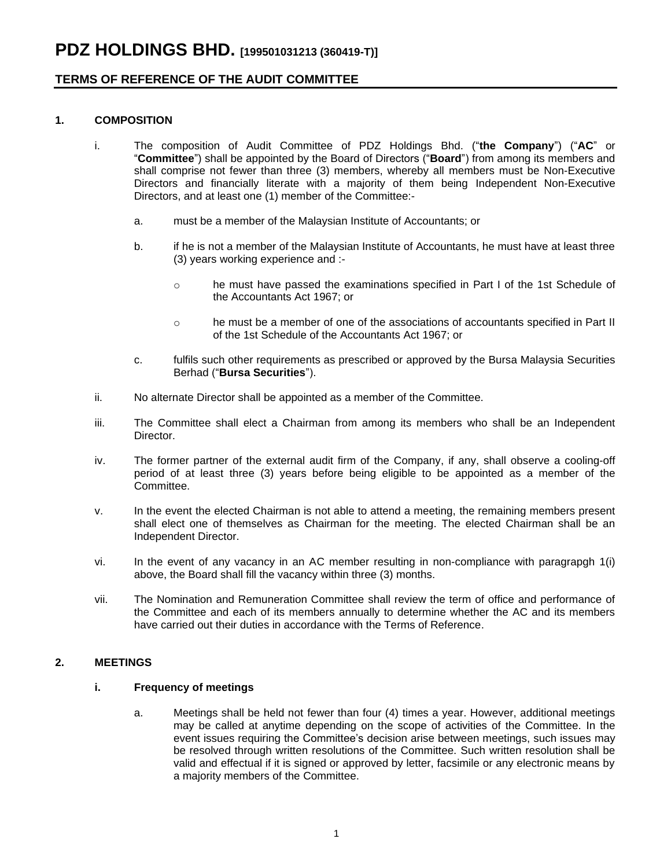## **TERMS OF REFERENCE OF THE AUDIT COMMITTEE**

## **1. COMPOSITION**

- i. The composition of Audit Committee of PDZ Holdings Bhd. ("**the Company**") ("**AC**" or "**Committee**") shall be appointed by the Board of Directors ("**Board**") from among its members and shall comprise not fewer than three (3) members, whereby all members must be Non-Executive Directors and financially literate with a majority of them being Independent Non-Executive Directors, and at least one (1) member of the Committee:
	- a. must be a member of the Malaysian Institute of Accountants; or
	- b. if he is not a member of the Malaysian Institute of Accountants, he must have at least three (3) years working experience and :
		- o he must have passed the examinations specified in Part I of the 1st Schedule of the Accountants Act 1967; or
		- o he must be a member of one of the associations of accountants specified in Part II of the 1st Schedule of the Accountants Act 1967; or
	- c. fulfils such other requirements as prescribed or approved by the Bursa Malaysia Securities Berhad ("**Bursa Securities**").
- ii. No alternate Director shall be appointed as a member of the Committee.
- iii. The Committee shall elect a Chairman from among its members who shall be an Independent **Director**
- iv. The former partner of the external audit firm of the Company, if any, shall observe a cooling-off period of at least three (3) years before being eligible to be appointed as a member of the Committee.
- v. In the event the elected Chairman is not able to attend a meeting, the remaining members present shall elect one of themselves as Chairman for the meeting. The elected Chairman shall be an Independent Director.
- vi. In the event of any vacancy in an AC member resulting in non-compliance with paragrapgh 1(i) above, the Board shall fill the vacancy within three (3) months.
- vii. The Nomination and Remuneration Committee shall review the term of office and performance of the Committee and each of its members annually to determine whether the AC and its members have carried out their duties in accordance with the Terms of Reference.

## **2. MEETINGS**

## **i. Frequency of meetings**

a. Meetings shall be held not fewer than four (4) times a year. However, additional meetings may be called at anytime depending on the scope of activities of the Committee. In the event issues requiring the Committee's decision arise between meetings, such issues may be resolved through written resolutions of the Committee. Such written resolution shall be valid and effectual if it is signed or approved by letter, facsimile or any electronic means by a majority members of the Committee.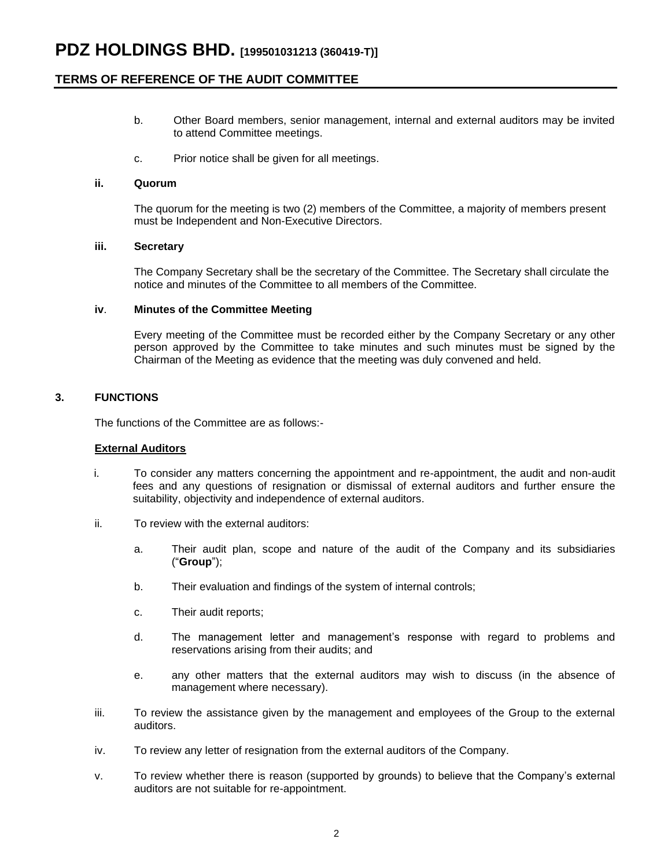## **TERMS OF REFERENCE OF THE AUDIT COMMITTEE**

- b. Other Board members, senior management, internal and external auditors may be invited to attend Committee meetings.
- c. Prior notice shall be given for all meetings.

#### **ii. Quorum**

The quorum for the meeting is two (2) members of the Committee, a majority of members present must be Independent and Non-Executive Directors.

### **iii. Secretary**

The Company Secretary shall be the secretary of the Committee. The Secretary shall circulate the notice and minutes of the Committee to all members of the Committee.

### **iv**. **Minutes of the Committee Meeting**

Every meeting of the Committee must be recorded either by the Company Secretary or any other person approved by the Committee to take minutes and such minutes must be signed by the Chairman of the Meeting as evidence that the meeting was duly convened and held.

### **3. FUNCTIONS**

The functions of the Committee are as follows:-

### **External Auditors**

- i. To consider any matters concerning the appointment and re-appointment, the audit and non-audit fees and any questions of resignation or dismissal of external auditors and further ensure the suitability, objectivity and independence of external auditors.
- ii. To review with the external auditors:
	- a. Their audit plan, scope and nature of the audit of the Company and its subsidiaries ("**Group**");
	- b. Their evaluation and findings of the system of internal controls;
	- c. Their audit reports;
	- d. The management letter and management's response with regard to problems and reservations arising from their audits; and
	- e. any other matters that the external auditors may wish to discuss (in the absence of management where necessary).
- iii. To review the assistance given by the management and employees of the Group to the external auditors.
- iv. To review any letter of resignation from the external auditors of the Company.
- v. To review whether there is reason (supported by grounds) to believe that the Company's external auditors are not suitable for re-appointment.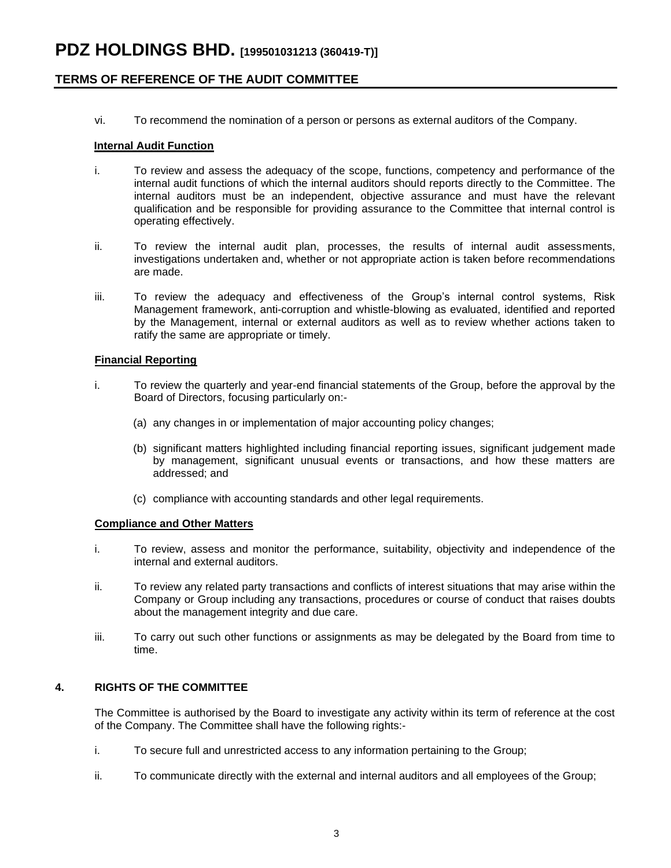## **TERMS OF REFERENCE OF THE AUDIT COMMITTEE**

vi. To recommend the nomination of a person or persons as external auditors of the Company.

### **Internal Audit Function**

- i. To review and assess the adequacy of the scope, functions, competency and performance of the internal audit functions of which the internal auditors should reports directly to the Committee. The internal auditors must be an independent, objective assurance and must have the relevant qualification and be responsible for providing assurance to the Committee that internal control is operating effectively.
- ii. To review the internal audit plan, processes, the results of internal audit assessments, investigations undertaken and, whether or not appropriate action is taken before recommendations are made.
- iii. To review the adequacy and effectiveness of the Group's internal control systems, Risk Management framework, anti-corruption and whistle-blowing as evaluated, identified and reported by the Management, internal or external auditors as well as to review whether actions taken to ratify the same are appropriate or timely.

#### **Financial Reporting**

- i. To review the quarterly and year-end financial statements of the Group, before the approval by the Board of Directors, focusing particularly on:-
	- (a) any changes in or implementation of major accounting policy changes;
	- (b) significant matters highlighted including financial reporting issues, significant judgement made by management, significant unusual events or transactions, and how these matters are addressed; and
	- (c) compliance with accounting standards and other legal requirements.

#### **Compliance and Other Matters**

- i. To review, assess and monitor the performance, suitability, objectivity and independence of the internal and external auditors.
- ii. To review any related party transactions and conflicts of interest situations that may arise within the Company or Group including any transactions, procedures or course of conduct that raises doubts about the management integrity and due care.
- iii. To carry out such other functions or assignments as may be delegated by the Board from time to time.

## **4. RIGHTS OF THE COMMITTEE**

The Committee is authorised by the Board to investigate any activity within its term of reference at the cost of the Company. The Committee shall have the following rights:-

- i. To secure full and unrestricted access to any information pertaining to the Group;
- ii. To communicate directly with the external and internal auditors and all employees of the Group;